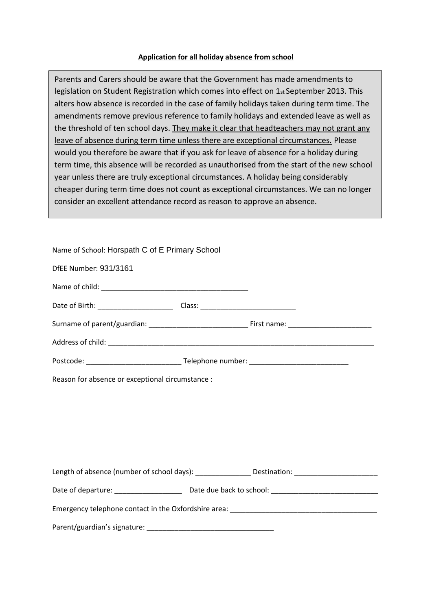## **Application for all holiday absence from school**

Parents and Carers should be aware that the Government has made amendments to legislation on Student Registration which comes into effect on 1st September 2013. This alters how absence is recorded in the case of family holidays taken during term time. The amendments remove previous reference to family holidays and extended leave as well as the threshold of ten school days. They make it clear that headteachers may not grant any leave of absence during term time unless there are exceptional circumstances. Please would you therefore be aware that if you ask for leave of absence for a holiday during term time, this absence will be recorded as unauthorised from the start of the new school year unless there are truly exceptional circumstances. A holiday being considerably cheaper during term time does not count as exceptional circumstances. We can no longer consider an excellent attendance record as reason to approve an absence.

| Name of School: Horspath C of E Primary School                                                      |  |  |
|-----------------------------------------------------------------------------------------------------|--|--|
| DfEE Number: 931/3161                                                                               |  |  |
|                                                                                                     |  |  |
|                                                                                                     |  |  |
|                                                                                                     |  |  |
|                                                                                                     |  |  |
|                                                                                                     |  |  |
| Reason for absence or exceptional circumstance :                                                    |  |  |
|                                                                                                     |  |  |
|                                                                                                     |  |  |
|                                                                                                     |  |  |
|                                                                                                     |  |  |
| Length of absence (number of school days): _________________ Destination: _________________________ |  |  |
|                                                                                                     |  |  |
|                                                                                                     |  |  |
|                                                                                                     |  |  |